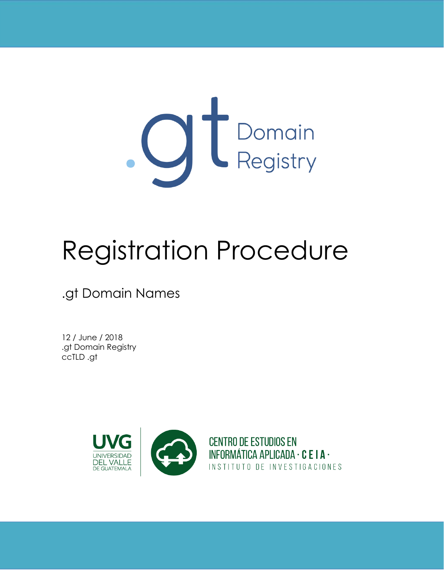

# Registration Procedure

.gt Domain Names

12 / June / 2018 .gt Domain Registry ccTLD .gt

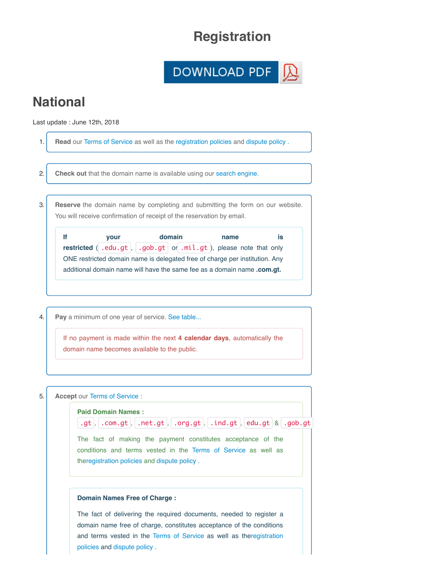## **Registration**



## **National**

Last update : June 12th, 2018

1. **Read** our Terms of Service as well as the [registration policies](https://dev.registro.gt/sitio/registration_policy.php?lang=en) and dispute policy. 2. **Check out** that the domain name is available using our search engine. 3. **Reserve** the domain name by completing and submitting the form on our website. You will receive confirmation of receipt of the reservation by email. **If If your domain name is restricted**  $\left($  .edu.gt,  $\right)$  .gob.gt or .mil.gt, please note that only ONE restricted domain name is delegated free of charge per institution. Any additional domain name will have the same fee as a domain name **.com.gt.** 4. **Pay** a minimum of one year of service. [See table...](https://dev.registro.gt/sitio/fees.php?lang=en) If no payment is made within the next 4 calendar days, automatically the

domain name becomes available to the public.

| 5. | <b>Accept our Terms of Service:</b>                                                                                                                                                                                                                                                 |
|----|-------------------------------------------------------------------------------------------------------------------------------------------------------------------------------------------------------------------------------------------------------------------------------------|
|    | <b>Paid Domain Names:</b><br>.gt, .com.gt, .net.gt, .org.gt, .ind.gt, edu.gt $\&$ .gob.gt<br>The fact of making the payment constitutes acceptance of the<br>conditions and terms vested in the Terms of Service as well as<br>theregistration policies and dispute policy.         |
|    | Domain Names Free of Charge:<br>The fact of delivering the required documents, needed to register a<br>domain name free of charge, constitutes acceptance of the conditions<br>and terms vested in the Terms of Service as well as the registration<br>policies and dispute policy. |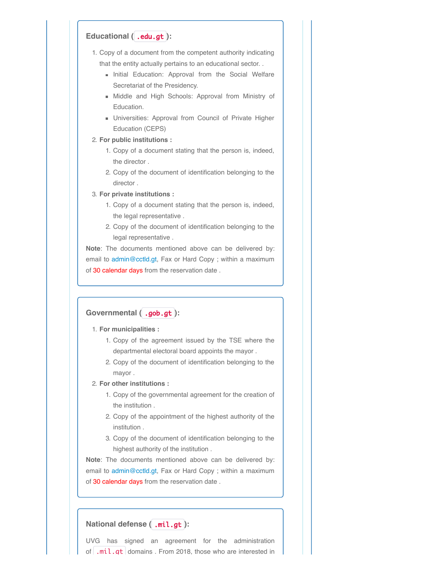#### **Educational (** .edu.gt **):**

- 1. Copy of a document from the competent authority indicating that the entity actually pertains to an educational sector. . . .
	- Initial Education: Approval from the Social Welfare Secretariat of the Presidency.
	- Middle and High Schools: Approval from Ministry of Education.
	- **Universities: Approval from Council of Private Higher** Education (CEPS)
- 2. **For public institutions :**
	- 1. Copy of a document stating that the person is, indeed, the director .
	- 2. Copy of the document of identification belonging to the director .

3. **For private institutions :**

- 1. Copy of a document stating that the person is, indeed, the legal representative .
- 2. Copy of the document of identification belonging to the legal representative .

**Note**: The documents mentioned above can be delivered by: email to [admin@cctld.gt](mailto:admin@cctld.gt), Fax or Hard Copy ; within a maximum of 30 calendar days from the reservation date.

### **Governmental (** .gob.gt **):**

1. **For municipalities :**

- 1. Copy of the agreement issued by the TSE where the departmental electoral board appoints the mayor .
- 2. Copy of the document of identification belonging to the mayor .

2. **For other institutions :**

- 1. Copy of the governmental agreement for the creation of the institution .
- 2. Copy of the appointment of the highest authority of the institution .
- 3. Copy of the document of identification belonging to the highest authority of the institution .

**Note**: The documents mentioned above can be delivered by: email to [admin@cctld.gt](mailto:admin@cctld.gt), Fax or Hard Copy ; within a maximum of 30 calendar days from the reservation date.

#### **National defense (** .mil.gt **):**

UVG has signed an agreement for the administration of  $\lfloor$  .mil.at domains . From 2018, those who are interested in